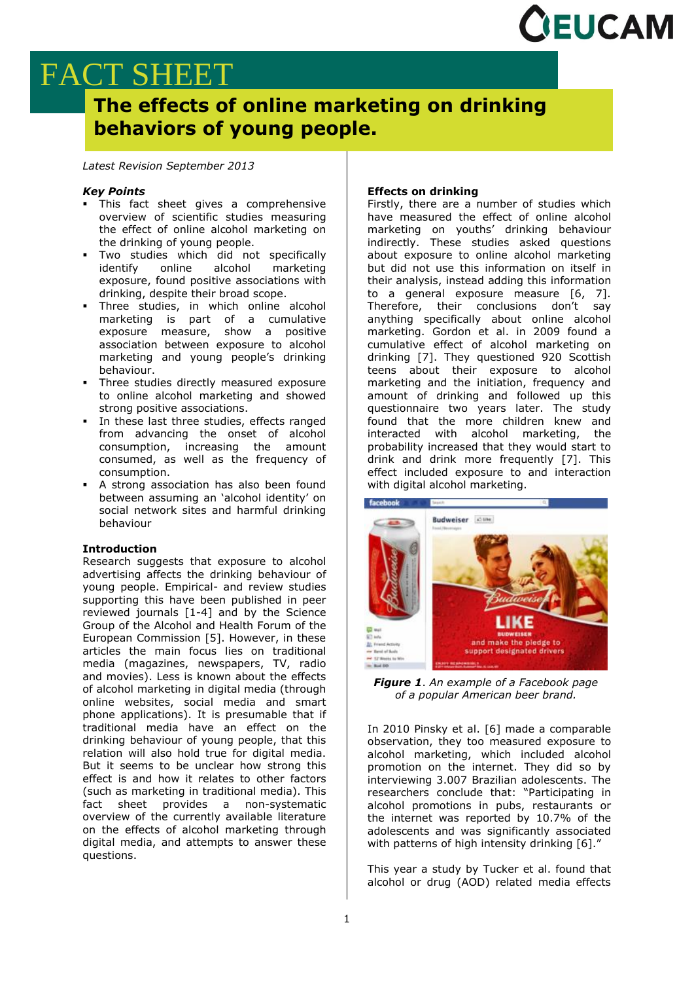# FACT SHEET



## **The effects of online marketing on drinking behaviors of young people.**

#### *Latest Revision September 2013*

#### *Key Points*

- This fact sheet gives a comprehensive overview of scientific studies measuring the effect of online alcohol marketing on the drinking of young people.
- Two studies which did not specifically identify online alcohol marketing exposure, found positive associations with drinking, despite their broad scope.
- Three studies, in which online alcohol marketing is part of a cumulative exposure measure, show a positive association between exposure to alcohol marketing and young people"s drinking behaviour.
- Three studies directly measured exposure to online alcohol marketing and showed strong positive associations.
- In these last three studies, effects ranged from advancing the onset of alcohol consumption, increasing the amount consumed, as well as the frequency of consumption.
- A strong association has also been found between assuming an "alcohol identity" on social network sites and harmful drinking behaviour

### **Introduction**

Research suggests that exposure to alcohol advertising affects the drinking behaviour of young people. Empirical- and review studies supporting this have been published in peer reviewed journals [1-4] and by the Science Group of the Alcohol and Health Forum of the European Commission [5]. However, in these articles the main focus lies on traditional media (magazines, newspapers, TV, radio and movies). Less is known about the effects of alcohol marketing in digital media (through online websites, social media and smart phone applications). It is presumable that if traditional media have an effect on the drinking behaviour of young people, that this relation will also hold true for digital media. But it seems to be unclear how strong this effect is and how it relates to other factors (such as marketing in traditional media). This fact sheet provides a non-systematic overview of the currently available literature on the effects of alcohol marketing through digital media, and attempts to answer these questions.

#### **Effects on drinking**

Firstly, there are a number of studies which have measured the effect of online alcohol marketing on youths" drinking behaviour indirectly. These studies asked questions about exposure to online alcohol marketing but did not use this information on itself in their analysis, instead adding this information to a general exposure measure [6, 7]. Therefore, their conclusions don't say anything specifically about online alcohol marketing. Gordon et al. in 2009 found a cumulative effect of alcohol marketing on drinking [7]. They questioned 920 Scottish teens about their exposure to alcohol marketing and the initiation, frequency and amount of drinking and followed up this questionnaire two years later. The study found that the more children knew and interacted with alcohol marketing, the probability increased that they would start to drink and drink more frequently [7]. This effect included exposure to and interaction with digital alcohol marketing.



*Figure 1*. *An example of a Facebook page of a popular American beer brand.*

In 2010 Pinsky et al. [6] made a comparable observation, they too measured exposure to alcohol marketing, which included alcohol promotion on the internet. They did so by interviewing 3.007 Brazilian adolescents. The researchers conclude that: "Participating in alcohol promotions in pubs, restaurants or the internet was reported by 10.7% of the adolescents and was significantly associated with patterns of high intensity drinking [6]."

This year a study by Tucker et al. found that alcohol or drug (AOD) related media effects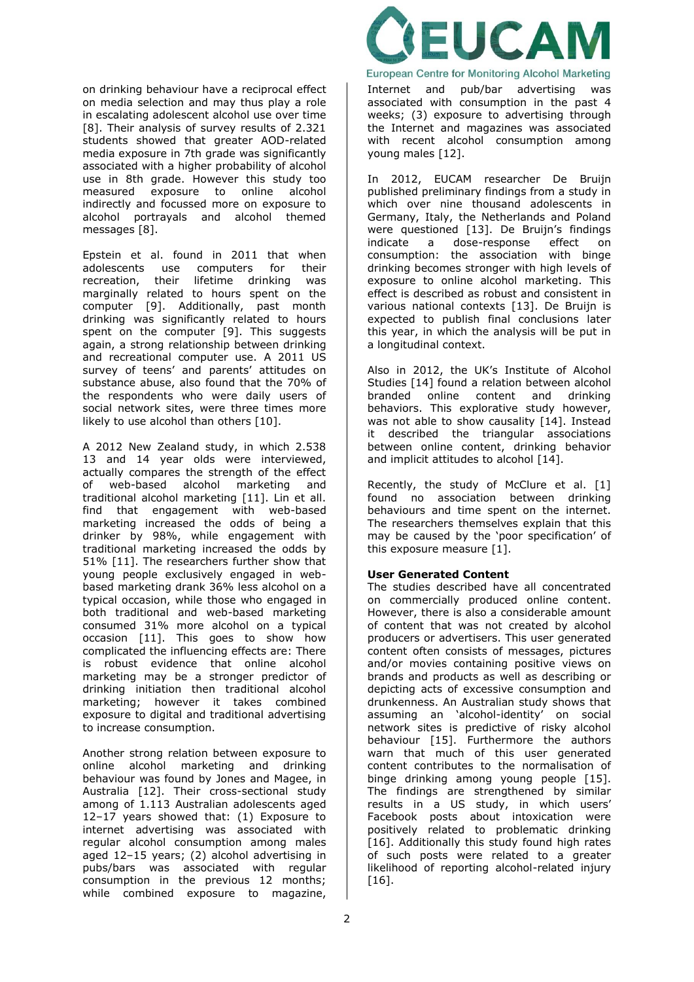on drinking behaviour have a reciprocal effect on media selection and may thus play a role in escalating adolescent alcohol use over time [8]. Their analysis of survey results of 2.321 students showed that greater AOD-related media exposure in 7th grade was significantly associated with a higher probability of alcohol use in 8th grade. However this study too measured exposure to online indirectly and focussed more on exposure to alcohol portrayals and alcohol themed messages [8].

Epstein et al. found in 2011 that when adolescents use computers for their recreation, their lifetime drinking was marginally related to hours spent on the computer [9]. Additionally, past month drinking was significantly related to hours spent on the computer [9]. This suggests again, a strong relationship between drinking and recreational computer use. A 2011 US survey of teens' and parents' attitudes on substance abuse, also found that the 70% of the respondents who were daily users of social network sites, were three times more likely to use alcohol than others [10].

A 2012 New Zealand study, in which 2.538 13 and 14 year olds were interviewed, actually compares the strength of the effect of web-based alcohol marketing and traditional alcohol marketing [11]. Lin et all. find that engagement with web-based marketing increased the odds of being a drinker by 98%, while engagement with traditional marketing increased the odds by 51% [11]. The researchers further show that young people exclusively engaged in webbased marketing drank 36% less alcohol on a typical occasion, while those who engaged in both traditional and web-based marketing consumed 31% more alcohol on a typical occasion [11]. This goes to show how complicated the influencing effects are: There is robust evidence that online alcohol marketing may be a stronger predictor of drinking initiation then traditional alcohol marketing; however it takes combined exposure to digital and traditional advertising to increase consumption.

Another strong relation between exposure to online alcohol marketing and drinking behaviour was found by Jones and Magee, in Australia [12]. Their cross-sectional study among of 1.113 Australian adolescents aged 12–17 years showed that: (1) Exposure to internet advertising was associated with regular alcohol consumption among males aged 12–15 years; (2) alcohol advertising in pubs/bars was associated with regular consumption in the previous 12 months; while combined exposure to magazine,



Internet and pub/bar advertising was associated with consumption in the past 4 weeks; (3) exposure to advertising through the Internet and magazines was associated with recent alcohol consumption among young males [12].

In 2012, EUCAM researcher De Bruijn published preliminary findings from a study in which over nine thousand adolescents in Germany, Italy, the Netherlands and Poland were questioned [13]. De Bruijn's findings indicate a dose-response effect on consumption: the association with binge drinking becomes stronger with high levels of exposure to online alcohol marketing. This effect is described as robust and consistent in various national contexts [13]. De Bruijn is expected to publish final conclusions later this year, in which the analysis will be put in a longitudinal context.

Also in 2012, the UK"s Institute of Alcohol Studies [14] found a relation between alcohol branded online content and drinking behaviors. This explorative study however, was not able to show causality [14]. Instead it described the triangular associations between online content, drinking behavior and implicit attitudes to alcohol [14].

Recently, the study of McClure et al. [1] found no association between drinking behaviours and time spent on the internet. The researchers themselves explain that this may be caused by the 'poor specification' of this exposure measure [1].

### **User Generated Content**

The studies described have all concentrated on commercially produced online content. However, there is also a considerable amount of content that was not created by alcohol producers or advertisers. This user generated content often consists of messages, pictures and/or movies containing positive views on brands and products as well as describing or depicting acts of excessive consumption and drunkenness. An Australian study shows that assuming an "alcohol-identity" on social network sites is predictive of risky alcohol behaviour [15]. Furthermore the authors warn that much of this user generated content contributes to the normalisation of binge drinking among young people [15]. The findings are strengthened by similar results in a US study, in which users' Facebook posts about intoxication were positively related to problematic drinking [16]. Additionally this study found high rates of such posts were related to a greater likelihood of reporting alcohol-related injury [16].